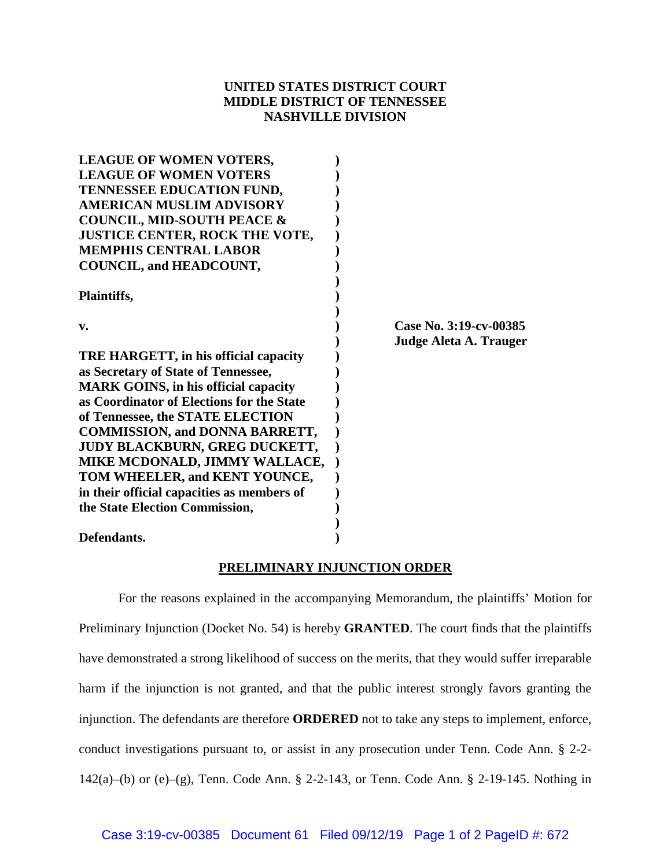## **UNITED STATES DISTRICT COURT MIDDLE DISTRICT OF TENNESSEE NASHVILLE DIVISION**

| <b>LEAGUE OF WOMEN VOTERS,</b>              |                        |
|---------------------------------------------|------------------------|
| <b>LEAGUE OF WOMEN VOTERS</b>               |                        |
| TENNESSEE EDUCATION FUND,                   |                        |
| <b>AMERICAN MUSLIM ADVISORY</b>             |                        |
| <b>COUNCIL, MID-SOUTH PEACE &amp;</b>       |                        |
| JUSTICE CENTER, ROCK THE VOTE,              |                        |
| <b>MEMPHIS CENTRAL LABOR</b>                |                        |
| <b>COUNCIL, and HEADCOUNT,</b>              |                        |
|                                             |                        |
| Plaintiffs,                                 |                        |
|                                             |                        |
| v.                                          | Case No. 3:19-cv-00385 |
|                                             | Judge Aleta A. Trauger |
| TRE HARGETT, in his official capacity       |                        |
| as Secretary of State of Tennessee,         |                        |
| <b>MARK GOINS, in his official capacity</b> |                        |
| as Coordinator of Elections for the State   |                        |
| of Tennessee, the STATE ELECTION            |                        |
| <b>COMMISSION, and DONNA BARRETT,</b>       |                        |
| JUDY BLACKBURN, GREG DUCKETT,               |                        |
| MIKE MCDONALD, JIMMY WALLACE,               |                        |
| TOM WHEELER, and KENT YOUNCE,               |                        |
| in their official capacities as members of  |                        |
| the State Election Commission,              |                        |
|                                             |                        |
| Defendants.                                 |                        |

## **PRELIMINARY INJUNCTION ORDER**

For the reasons explained in the accompanying Memorandum, the plaintiffs' Motion for Preliminary Injunction (Docket No. 54) is hereby **GRANTED**. The court finds that the plaintiffs have demonstrated a strong likelihood of success on the merits, that they would suffer irreparable harm if the injunction is not granted, and that the public interest strongly favors granting the injunction. The defendants are therefore **ORDERED** not to take any steps to implement, enforce, conduct investigations pursuant to, or assist in any prosecution under Tenn. Code Ann. § 2-2- 142(a)–(b) or (e)–(g), Tenn. Code Ann. § 2-2-143, or Tenn. Code Ann. § 2-19-145. Nothing in